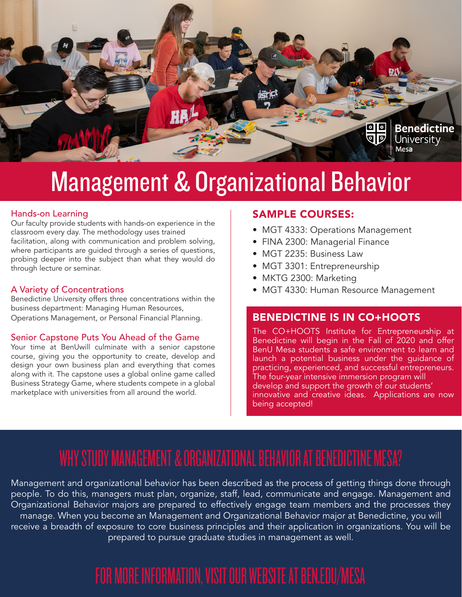

## Management & Organizational Behavior

Our faculty provide students with hands-on experience in the classroom every day. The methodology uses trained facilitation, along with communication and problem solving, where participants are guided through a series of questions, probing deeper into the subject than what they would do through lecture or seminar.

#### A Variety of Concentrations

Benedictine University offers three concentrations within the business department: Managing Human Resources, Operations Management, or Personal Financial Planning.

#### Senior Capstone Puts You Ahead of the Game

Your time at BenUwill culminate with a senior capstone course, giving you the opportunity to create, develop and design your own business plan and everything that comes along with it. The capstone uses a global online game called Business Strategy Game, where students compete in a global marketplace with universities from all around the world.

#### Hands-on Learning The Court of the SAMPLE COURSES:

- MGT 4333: Operations Management
- FINA 2300: Managerial Finance
- MGT 2235: Business Law
- MGT 3301: Entrepreneurship
- MKTG 2300: Marketing
- MGT 4330: Human Resource Management

#### BENEDICTINE IS IN CO+HOOTS

The CO+HOOTS Institute for Entrepreneurship at Benedictine will begin in the Fall of 2020 and offer BenU Mesa students a safe environment to learn and launch a potential business under the guidance of practicing, experienced, and successful entrepreneurs. The four-year intensive immersion program will develop and support the growth of our students' innovative and creative ideas. Applications are now being accepted!

## WHY STUDY MANAGEMENT & ORGANIZATIONAL BEHAVIOR AT BENEDICTINE MESA?

Management and organizational behavior has been described as the process of getting things done through people. To do this, managers must plan, organize, staff, lead, communicate and engage. Management and Organizational Behavior majors are prepared to effectively engage team members and the processes they manage. When you become an Management and Organizational Behavior major at Benedictine, you will receive a breadth of exposure to core business principles and their application in organizations. You will be prepared to pursue graduate studies in management as well.

## FOR MORE INFORMATION, VISIT OUR WEBSITE AT BEN.EDU/MESA